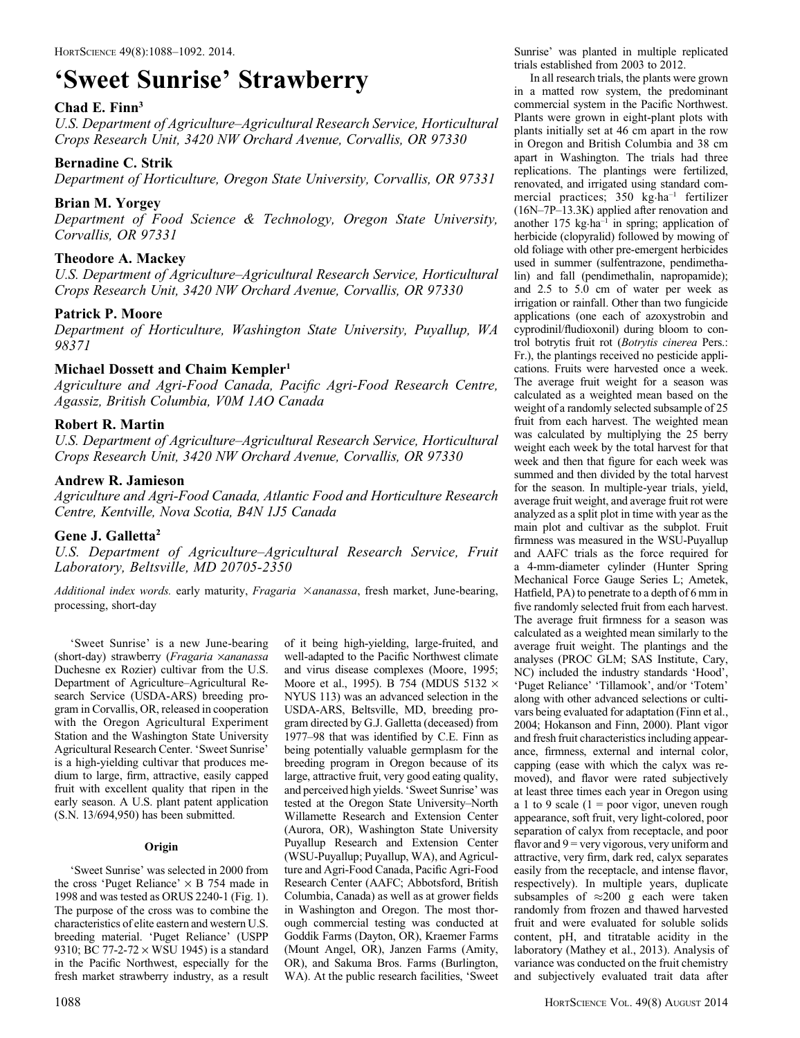# 'Sweet Sunrise' Strawberry

#### Chad E. Finn<sup>3</sup>

U.S. Department of Agriculture–Agricultural Research Service, Horticultural Crops Research Unit, 3420 NW Orchard Avenue, Corvallis, OR 97330

#### Bernadine C. Strik

Department of Horticulture, Oregon State University, Corvallis, OR 97331

# Brian M. Yorgey

Department of Food Science & Technology, Oregon State University, Corvallis, OR 97331

# Theodore A. Mackey

U.S. Department of Agriculture–Agricultural Research Service, Horticultural Crops Research Unit, 3420 NW Orchard Avenue, Corvallis, OR 97330

#### Patrick P. Moore

Department of Horticulture, Washington State University, Puyallup, WA 98371

# Michael Dossett and Chaim Kempler<sup>1</sup>

Agriculture and Agri-Food Canada, Pacific Agri-Food Research Centre, Agassiz, British Columbia, V0M 1AO Canada

# Robert R. Martin

U.S. Department of Agriculture–Agricultural Research Service, Horticultural Crops Research Unit, 3420 NW Orchard Avenue, Corvallis, OR 97330

#### Andrew R. Jamieson

Agriculture and Agri-Food Canada, Atlantic Food and Horticulture Research Centre, Kentville, Nova Scotia, B4N 1J5 Canada

#### Gene J. Galletta2

U.S. Department of Agriculture–Agricultural Research Service, Fruit Laboratory, Beltsville, MD 20705-2350

Additional index words. early maturity, Fragaria Xananassa, fresh market, June-bearing, processing, short-day

'Sweet Sunrise' is a new June-bearing (short-day) strawberry (Fragaria ×ananassa Duchesne ex Rozier) cultivar from the U.S. Department of Agriculture–Agricultural Research Service (USDA-ARS) breeding program in Corvallis, OR, released in cooperation with the Oregon Agricultural Experiment Station and the Washington State University Agricultural Research Center. 'Sweet Sunrise' is a high-yielding cultivar that produces medium to large, firm, attractive, easily capped fruit with excellent quality that ripen in the early season. A U.S. plant patent application (S.N. 13/694,950) has been submitted.

#### **Origin**

'Sweet Sunrise' was selected in 2000 from the cross 'Puget Reliance'  $\times$  B 754 made in 1998 and was tested as ORUS 2240-1 (Fig. 1). The purpose of the cross was to combine the characteristics of elite eastern and western U.S. breeding material. 'Puget Reliance' (USPP 9310; BC 77-2-72  $\times$  WSU 1945) is a standard in the Pacific Northwest, especially for the fresh market strawberry industry, as a result well-adapted to the Pacific Northwest climate and virus disease complexes (Moore, 1995; Moore et al., 1995). B 754 (MDUS 5132  $\times$ NYUS 113) was an advanced selection in the USDA-ARS, Beltsville, MD, breeding program directed by G.J. Galletta (deceased) from 1977–98 that was identified by C.E. Finn as being potentially valuable germplasm for the breeding program in Oregon because of its large, attractive fruit, very good eating quality, and perceived high yields. 'Sweet Sunrise' was tested at the Oregon State University–North Willamette Research and Extension Center (Aurora, OR), Washington State University Puyallup Research and Extension Center (WSU-Puyallup; Puyallup, WA), and Agriculture and Agri-Food Canada, Pacific Agri-Food Research Center (AAFC; Abbotsford, British Columbia, Canada) as well as at grower fields in Washington and Oregon. The most thorough commercial testing was conducted at Goddik Farms (Dayton, OR), Kraemer Farms (Mount Angel, OR), Janzen Farms (Amity, OR), and Sakuma Bros. Farms (Burlington, WA). At the public research facilities, 'Sweet

of it being high-yielding, large-fruited, and

Sunrise' was planted in multiple replicated trials established from 2003 to 2012.

In all research trials, the plants were grown in a matted row system, the predominant commercial system in the Pacific Northwest. Plants were grown in eight-plant plots with plants initially set at 46 cm apart in the row in Oregon and British Columbia and 38 cm apart in Washington. The trials had three replications. The plantings were fertilized, renovated, and irrigated using standard commercial practices; 350 kg·ha–1 fertilizer (16N–7P–13.3K) applied after renovation and another  $175 \text{ kg} \cdot \text{ha}^{-1}$  in spring; application of herbicide (clopyralid) followed by mowing of old foliage with other pre-emergent herbicides used in summer (sulfentrazone, pendimethalin) and fall (pendimethalin, napropamide); and 2.5 to 5.0 cm of water per week as irrigation or rainfall. Other than two fungicide applications (one each of azoxystrobin and cyprodinil/fludioxonil) during bloom to control botrytis fruit rot (Botrytis cinerea Pers.: Fr.), the plantings received no pesticide applications. Fruits were harvested once a week. The average fruit weight for a season was calculated as a weighted mean based on the weight of a randomly selected subsample of 25 fruit from each harvest. The weighted mean was calculated by multiplying the 25 berry weight each week by the total harvest for that week and then that figure for each week was summed and then divided by the total harvest for the season. In multiple-year trials, yield, average fruit weight, and average fruit rot were analyzed as a split plot in time with year as the main plot and cultivar as the subplot. Fruit firmness was measured in the WSU-Puyallup and AAFC trials as the force required for a 4-mm-diameter cylinder (Hunter Spring Mechanical Force Gauge Series L; Ametek, Hatfield, PA) to penetrate to a depth of 6 mm in five randomly selected fruit from each harvest. The average fruit firmness for a season was calculated as a weighted mean similarly to the average fruit weight. The plantings and the analyses (PROC GLM; SAS Institute, Cary, NC) included the industry standards 'Hood', 'Puget Reliance' 'Tillamook', and/or 'Totem' along with other advanced selections or cultivars being evaluated for adaptation (Finn et al., 2004; Hokanson and Finn, 2000). Plant vigor and fresh fruit characteristics including appearance, firmness, external and internal color, capping (ease with which the calyx was removed), and flavor were rated subjectively at least three times each year in Oregon using a 1 to 9 scale ( $1 =$  poor vigor, uneven rough appearance, soft fruit, very light-colored, poor separation of calyx from receptacle, and poor flavor and  $9$  = very vigorous, very uniform and attractive, very firm, dark red, calyx separates easily from the receptacle, and intense flavor, respectively). In multiple years, duplicate subsamples of  $\approx$ 200 g each were taken randomly from frozen and thawed harvested fruit and were evaluated for soluble solids content, pH, and titratable acidity in the laboratory (Mathey et al., 2013). Analysis of variance was conducted on the fruit chemistry and subjectively evaluated trait data after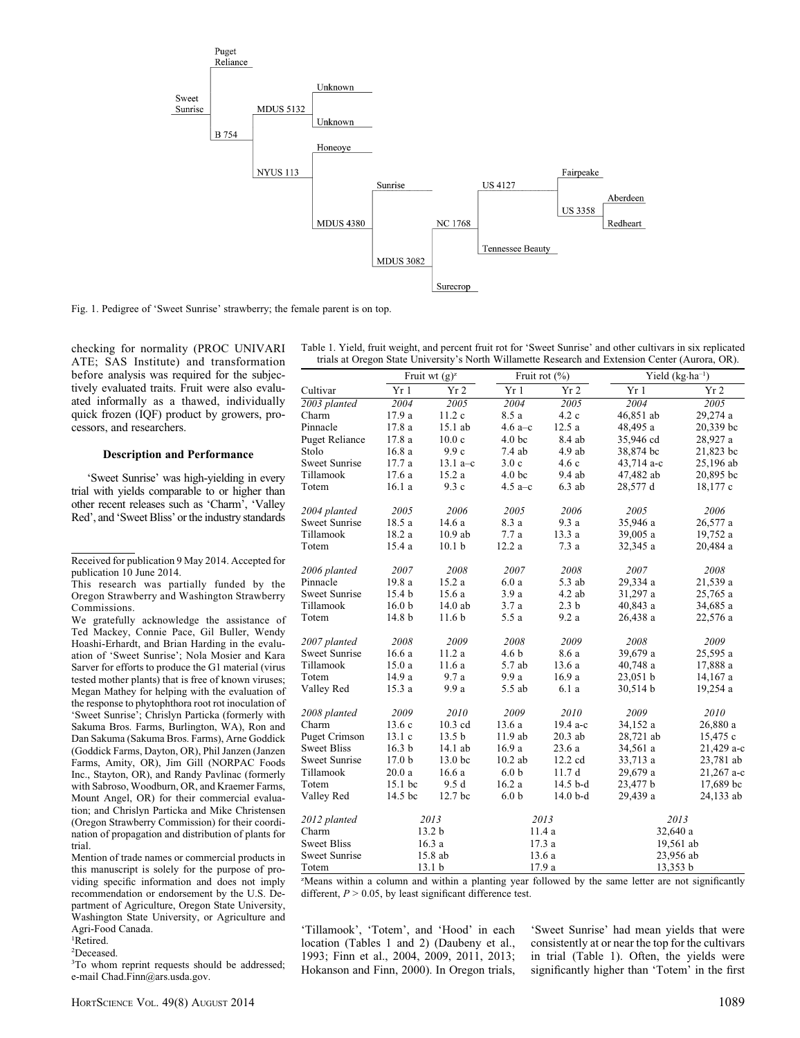

Fig. 1. Pedigree of 'Sweet Sunrise' strawberry; the female parent is on top.

checking for normality (PROC UNIVARI ATE; SAS Institute) and transformation before analysis was required for the subjectively evaluated traits. Fruit were also evaluated informally as a thawed, individually quick frozen (IQF) product by growers, processors, and researchers.

#### Description and Performance

'Sweet Sunrise' was high-yielding in every trial with yields comparable to or higher than other recent releases such as 'Charm', 'Valley Red', and 'Sweet Bliss' or the industry standards

Received for publication 9 May 2014. Accepted for publication 10 June 2014.

This research was partially funded by the Oregon Strawberry and Washington Strawberry Commissions.

We gratefully acknowledge the assistance of Ted Mackey, Connie Pace, Gil Buller, Wendy Hoashi-Erhardt, and Brian Harding in the evaluation of 'Sweet Sunrise'; Nola Mosier and Kara Sarver for efforts to produce the G1 material (virus tested mother plants) that is free of known viruses; Megan Mathey for helping with the evaluation of the response to phytophthora root rot inoculation of 'Sweet Sunrise'; Chrislyn Particka (formerly with Sakuma Bros. Farms, Burlington, WA), Ron and Dan Sakuma (Sakuma Bros. Farms), Arne Goddick (Goddick Farms, Dayton, OR), Phil Janzen (Janzen Farms, Amity, OR), Jim Gill (NORPAC Foods Inc., Stayton, OR), and Randy Pavlinac (formerly with Sabroso, Woodburn, OR, and Kraemer Farms, Mount Angel, OR) for their commercial evaluation; and Chrislyn Particka and Mike Christensen (Oregon Strawberry Commission) for their coordination of propagation and distribution of plants for trial.

Mention of trade names or commercial products in this manuscript is solely for the purpose of providing specific information and does not imply recommendation or endorsement by the U.S. Department of Agriculture, Oregon State University, Washington State University, or Agriculture and Agri-Food Canada.

1 Retired.

2 Deceased.

<sup>3</sup>To whom reprint requests should be addressed; e-mail Chad.Finn@ars.usda.gov.

Table 1. Yield, fruit weight, and percent fruit rot for 'Sweet Sunrise' and other cultivars in six replicated trials at Oregon State University's North Willamette Research and Extension Center (Aurora, OR).

|                       | Fruit wt $(g)^{z}$ |                    |                   | Fruit rot $(\% )$ | Yield $(kg \cdot ha^{-1})$ |            |  |
|-----------------------|--------------------|--------------------|-------------------|-------------------|----------------------------|------------|--|
| Cultivar              | Yr 1               | Yr <sub>2</sub>    | Yr 1              | Yr 2              | Yr 1                       | Yr 2       |  |
| 2003 planted          | 2004               | 2005               | 2004              | 2005              | 2004                       | 2005       |  |
| Charm                 | 17.9 a             | 11.2c              | 8.5 a             | 4.2c              | 46,851 ab                  | 29,274 a   |  |
| Pinnacle              | 17.8 a             | 15.1 ab            | 4.6 $a - c$       | 12.5a             | 48,495 a                   | 20,339 bc  |  |
| <b>Puget Reliance</b> | 17.8 a             | 10.0c              | 4.0 <sub>bc</sub> | 8.4 ab            | 35,946 cd                  | 28,927 a   |  |
| Stolo                 | 16.8 a             | 9.9c               | 7.4ab             | $4.9$ ab          | 38,874 bc                  | 21,823 bc  |  |
| <b>Sweet Sunrise</b>  | 17.7 a             | 13.1 a–c           | 3.0c              | 4.6c              | 43,714 a-c                 | 25,196 ab  |  |
| Tillamook             | 17.6 a             | 15.2 a             | 4.0 <sub>bc</sub> | 9.4 ab            | 47,482 ab                  | 20,895 bc  |  |
| Totem                 | 16.1a              | 9.3c               | 4.5 a–c           | $6.3$ ab          | 28,577 d                   | 18,177 c   |  |
| 2004 planted          | 2005               | 2006               | 2005              | 2006              | 2005                       | 2006       |  |
| <b>Sweet Sunrise</b>  | 18.5 a             | 14.6 a             | 8.3 a             | 9.3 a             | 35,946 a                   | 26,577 a   |  |
| Tillamook             | 18.2 a             | $10.9$ ab          | 7.7a              | 13.3 a            | 39,005 a                   | 19,752 a   |  |
| Totem                 | 15.4 a             | 10.1 <sub>b</sub>  | 12.2 a            | 7.3a              | 32,345 a                   | 20,484 a   |  |
| 2006 planted          | 2007               | 2008               | 2007              | 2008              | 2007                       | 2008       |  |
| Pinnacle              | 19.8 a             | 15.2a              | 6.0a              | 5.3 ab            | 29,334 a                   | 21,539 a   |  |
| <b>Sweet Sunrise</b>  | 15.4 b             | 15.6 a             | 3.9a              | $4.2$ ab          | 31,297 a                   | 25,765 a   |  |
| Tillamook             | 16.0 <sub>b</sub>  | 14.0 ab            | 3.7a              | 2.3 <sub>b</sub>  | 40,843 a                   | 34,685 a   |  |
| Totem                 | 14.8 b             | 11.6 <sub>b</sub>  | 5.5 a             | 9.2a              | 26,438 a                   | 22,576 a   |  |
| 2007 planted          | 2008               | 2009               | 2008              | 2009              | 2008                       | 2009       |  |
| <b>Sweet Sunrise</b>  | 16.6a              | 11.2a              | 4.6 <sub>b</sub>  | 8.6 a             | 39,679 a                   | 25,595 a   |  |
| Tillamook             | 15.0 a             | 11.6a              | 5.7 ab            | 13.6 a            | 40,748 a                   | 17,888 a   |  |
| Totem                 | 14.9 a             | 9.7 a              | 9.9 a             | 16.9 a            | 23,051 b                   | 14,167 a   |  |
| Valley Red            | 15.3 a             | 9.9 a              | 5.5 ab            | 6.1a              | 30,514 b                   | 19,254 a   |  |
| 2008 planted          | 2009               | 2010               | 2009              | 2010              | 2009                       | 2010       |  |
| Charm                 | 13.6c              | $10.3$ cd          | 13.6 a            | 19.4 a-c          | 34,152 a                   | 26,880 a   |  |
| <b>Puget Crimson</b>  | 13.1c              | 13.5 <sub>b</sub>  | 11.9 ab           | $20.3$ ab         | 28,721 ab                  | 15,475 c   |  |
| <b>Sweet Bliss</b>    | 16.3 <sub>b</sub>  | 14.1 ab            | 16.9a             | 23.6 a            | 34,561 a                   | 21,429 a-c |  |
| <b>Sweet Sunrise</b>  | 17.0 <sub>b</sub>  | 13.0 <sub>bc</sub> | $10.2$ ab         | 12.2 cd           | 33,713 a                   | 23,781 ab  |  |
| Tillamook             | 20.0a              | 16.6a              | 6.0 <sub>b</sub>  | 11.7d             | 29,679 a                   | 21,267 a-c |  |
| Totem                 | 15.1 bc            | 9.5d               | 16.2a             | 14.5 b-d          | 23,477 b                   | 17,689 bc  |  |
| Valley Red            | 14.5 bc            | 12.7 bc            | 6.0 <sub>b</sub>  | $14.0b-d$         | 29,439 a                   | 24,133 ab  |  |
| 2012 planted          |                    | 2013               |                   | 2013              | 2013                       |            |  |
| Charm                 |                    | 13.2 <sub>b</sub>  | 11.4 a            |                   | 32,640 a                   |            |  |
| <b>Sweet Bliss</b>    |                    | 16.3a              |                   | 17.3 a            | 19,561 ab                  |            |  |
| <b>Sweet Sunrise</b>  |                    | 15.8 ab            |                   | 13.6 a            | 23,956 ab                  |            |  |
| Totem                 |                    | 13.1 <sub>b</sub>  |                   | 17.9 a            | 13,353 b                   |            |  |

z Means within a column and within a planting year followed by the same letter are not significantly different,  $P > 0.05$ , by least significant difference test.

'Tillamook', 'Totem', and 'Hood' in each location (Tables 1 and 2) (Daubeny et al., 1993; Finn et al., 2004, 2009, 2011, 2013; Hokanson and Finn, 2000). In Oregon trials,

'Sweet Sunrise' had mean yields that were consistently at or near the top for the cultivars in trial (Table 1). Often, the yields were significantly higher than 'Totem' in the first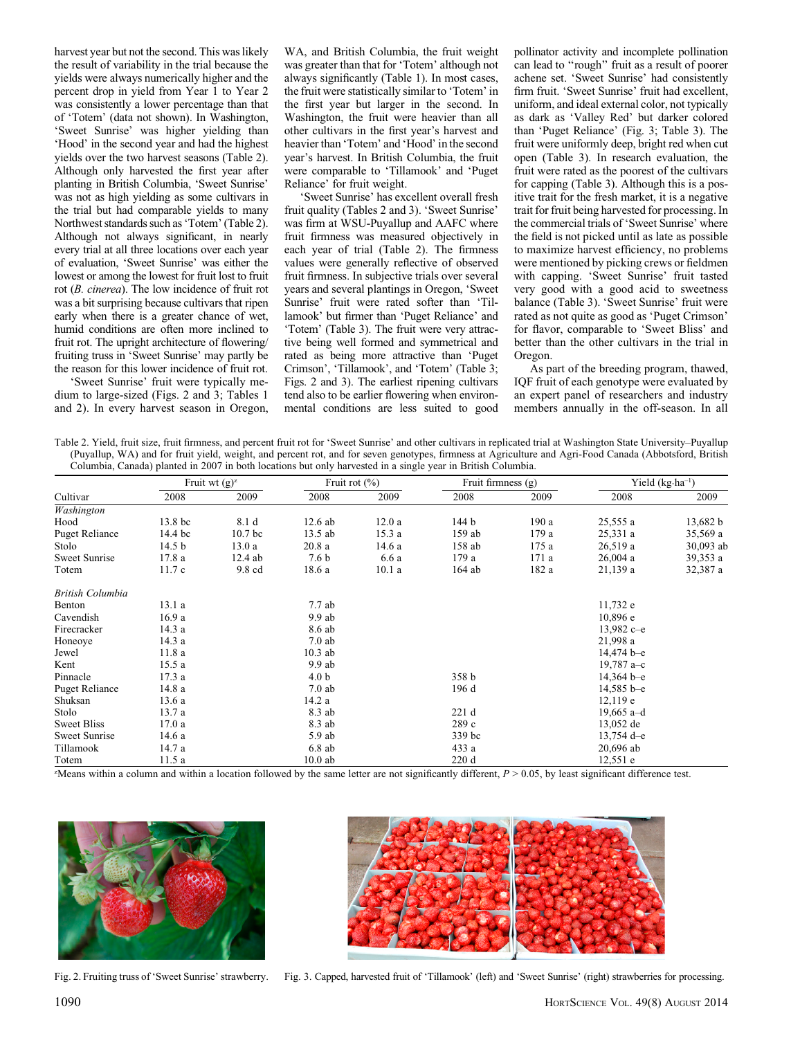harvest year but not the second. This was likely the result of variability in the trial because the yields were always numerically higher and the percent drop in yield from Year 1 to Year 2 was consistently a lower percentage than that of 'Totem' (data not shown). In Washington, 'Sweet Sunrise' was higher yielding than 'Hood' in the second year and had the highest yields over the two harvest seasons (Table 2). Although only harvested the first year after planting in British Columbia, 'Sweet Sunrise' was not as high yielding as some cultivars in the trial but had comparable yields to many Northwest standards such as 'Totem' (Table 2). Although not always significant, in nearly every trial at all three locations over each year of evaluation, 'Sweet Sunrise' was either the lowest or among the lowest for fruit lost to fruit rot (B. cinerea). The low incidence of fruit rot was a bit surprising because cultivars that ripen early when there is a greater chance of wet, humid conditions are often more inclined to fruit rot. The upright architecture of flowering/ fruiting truss in 'Sweet Sunrise' may partly be the reason for this lower incidence of fruit rot.

'Sweet Sunrise' fruit were typically medium to large-sized (Figs. 2 and 3; Tables 1 and 2). In every harvest season in Oregon, WA, and British Columbia, the fruit weight was greater than that for 'Totem' although not always significantly (Table 1). In most cases, the fruit were statistically similar to 'Totem' in the first year but larger in the second. In Washington, the fruit were heavier than all other cultivars in the first year's harvest and heavier than 'Totem' and 'Hood' in the second year's harvest. In British Columbia, the fruit were comparable to 'Tillamook' and 'Puget Reliance' for fruit weight.

'Sweet Sunrise' has excellent overall fresh fruit quality (Tables 2 and 3). 'Sweet Sunrise' was firm at WSU-Puyallup and AAFC where fruit firmness was measured objectively in each year of trial (Table 2). The firmness values were generally reflective of observed fruit firmness. In subjective trials over several years and several plantings in Oregon, 'Sweet Sunrise' fruit were rated softer than 'Tillamook' but firmer than 'Puget Reliance' and 'Totem' (Table 3). The fruit were very attractive being well formed and symmetrical and rated as being more attractive than 'Puget Crimson', 'Tillamook', and 'Totem' (Table 3; Figs. 2 and 3). The earliest ripening cultivars tend also to be earlier flowering when environmental conditions are less suited to good pollinator activity and incomplete pollination can lead to ''rough'' fruit as a result of poorer achene set. 'Sweet Sunrise' had consistently firm fruit. 'Sweet Sunrise' fruit had excellent, uniform, and ideal external color, not typically as dark as 'Valley Red' but darker colored than 'Puget Reliance' (Fig. 3; Table 3). The fruit were uniformly deep, bright red when cut open (Table 3). In research evaluation, the fruit were rated as the poorest of the cultivars for capping (Table 3). Although this is a positive trait for the fresh market, it is a negative trait for fruit being harvested for processing. In the commercial trials of 'Sweet Sunrise' where the field is not picked until as late as possible to maximize harvest efficiency, no problems were mentioned by picking crews or fieldmen with capping. 'Sweet Sunrise' fruit tasted very good with a good acid to sweetness balance (Table 3). 'Sweet Sunrise' fruit were rated as not quite as good as 'Puget Crimson' for flavor, comparable to 'Sweet Bliss' and better than the other cultivars in the trial in Oregon.

As part of the breeding program, thawed, IQF fruit of each genotype were evaluated by an expert panel of researchers and industry members annually in the off-season. In all

Table 2. Yield, fruit size, fruit firmness, and percent fruit rot for 'Sweet Sunrise' and other cultivars in replicated trial at Washington State University–Puyallup (Puyallup, WA) and for fruit yield, weight, and percent rot, and for seven genotypes, firmness at Agriculture and Agri-Food Canada (Abbotsford, British Columbia, Canada) planted in 2007 in both locations but only harvested in a single year in British Columbia.

|                       | Fruit wt $(g)^z$  |                  | Fruit rot $(\% )$ |                       | Fruit firmness $(g)$ |       | Yield $(kg \cdot ha^{-1})$ |           |  |
|-----------------------|-------------------|------------------|-------------------|-----------------------|----------------------|-------|----------------------------|-----------|--|
| Cultivar              | 2008              | 2009             | 2008              | 2009                  | 2008                 | 2009  | 2008                       | 2009      |  |
| Washington            |                   |                  |                   |                       |                      |       |                            |           |  |
| Hood                  | 13.8 bc           | 8.1 d            | $12.6$ ab         | 12.0a                 | 144 b                | 190a  | 25,555 a                   | 13,682 b  |  |
| <b>Puget Reliance</b> | 14.4 bc           | 10.7 bc          | 13.5 ab           | 15.3a                 | 159 ab               | 179 a | 25,331 a                   | 35,569 a  |  |
| Stolo                 | 14.5 <sub>b</sub> | 13.0a            | 20.8a             | 14.6 a                | 158 ab               | 175 a | 26,519a                    | 30,093 ab |  |
| Sweet Sunrise         | 17.8a             | $12.4$ ab        | 7.6 <sub>b</sub>  | 6.6 a                 | 179 a                | 171 a | 26,004a                    | 39,353 a  |  |
| Totem                 | 11.7c             | 9.8 cd           | 18.6 a            | 10.1a                 | 164 ab               | 182 a | 21,139 a                   | 32,387 a  |  |
| British Columbia      |                   |                  |                   |                       |                      |       |                            |           |  |
| Benton                | 13.1a             |                  | 7.7 ab            |                       |                      |       | 11,732 e                   |           |  |
| Cavendish             | 16.9a             |                  | $9.9$ ab          |                       |                      |       | 10,896e                    |           |  |
| Firecracker           | 14.3 a            |                  | 8.6 ab            |                       |                      |       | $13,982c - e$              |           |  |
| Honeoye               | 14.3a             |                  | $7.0$ ab          |                       |                      |       | 21,998 a                   |           |  |
| Jewel                 | 11.8 a            | $10.3$ ab        |                   |                       |                      |       | $14,474$ b-e               |           |  |
| Kent                  | 15.5a             | $9.9$ ab         |                   |                       |                      |       | 19,787 $a-c$               |           |  |
| Pinnacle              | 17.3a             | 4.0 <sub>b</sub> |                   |                       | 358 b                |       | $14,364$ b-e               |           |  |
| <b>Puget Reliance</b> | 14.8 a            | $7.0$ ab         |                   | 196 d<br>$14,585$ b-e |                      |       |                            |           |  |
| Shuksan               | 13.6 a            |                  | 14.2 a            |                       |                      |       | 12,119e                    |           |  |
| Stolo                 | 13.7a             |                  | 8.3 ab            |                       | 221d                 |       | 19,665 a-d                 |           |  |
| <b>Sweet Bliss</b>    | 17.0a             |                  | 8.3 ab            |                       | 289 c                |       | 13,052 de                  |           |  |
| Sweet Sunrise         | 14.6 a            | 5.9 ab           |                   |                       | 339 bc               |       | $13,754$ d-e               |           |  |
| Tillamook             | 14.7 a            |                  | $6.8$ ab          |                       | 433 a                |       | 20,696 ab                  |           |  |
| Totem                 | 11.5 a            |                  | $10.0$ ab         |                       | 220d                 |       | 12,551 e                   |           |  |

"Means within a column and within a location followed by the same letter are not significantly different,  $P > 0.05$ , by least significant difference test.





Fig. 2. Fruiting truss of 'Sweet Sunrise' strawberry. Fig. 3. Capped, harvested fruit of 'Tillamook' (left) and 'Sweet Sunrise' (right) strawberries for processing.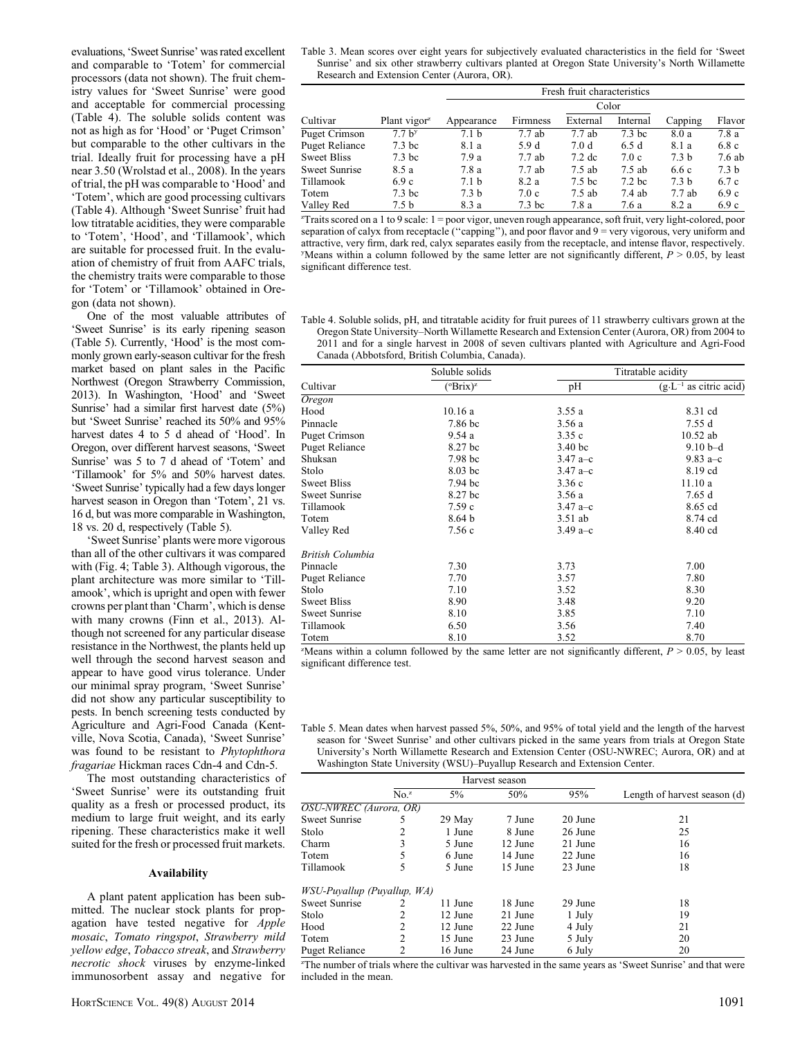evaluations, 'Sweet Sunrise' was rated excellent and comparable to 'Totem' for commercial processors (data not shown). The fruit chemistry values for 'Sweet Sunrise' were good and acceptable for commercial processing (Table 4). The soluble solids content was not as high as for 'Hood' or 'Puget Crimson' but comparable to the other cultivars in the trial. Ideally fruit for processing have a pH near 3.50 (Wrolstad et al., 2008). In the years of trial, the pH was comparable to 'Hood' and 'Totem', which are good processing cultivars (Table 4). Although 'Sweet Sunrise' fruit had low titratable acidities, they were comparable to 'Totem', 'Hood', and 'Tillamook', which are suitable for processed fruit. In the evaluation of chemistry of fruit from AAFC trials, the chemistry traits were comparable to those for 'Totem' or 'Tillamook' obtained in Oregon (data not shown).

One of the most valuable attributes of 'Sweet Sunrise' is its early ripening season (Table 5). Currently, 'Hood' is the most commonly grown early-season cultivar for the fresh market based on plant sales in the Pacific Northwest (Oregon Strawberry Commission, 2013). In Washington, 'Hood' and 'Sweet Sunrise' had a similar first harvest date (5%) but 'Sweet Sunrise' reached its 50% and 95% harvest dates 4 to 5 d ahead of 'Hood'. In Oregon, over different harvest seasons, 'Sweet Sunrise' was 5 to 7 d ahead of 'Totem' and 'Tillamook' for 5% and 50% harvest dates. 'Sweet Sunrise' typically had a few days longer harvest season in Oregon than 'Totem', 21 vs. 16 d, but was more comparable in Washington, 18 vs. 20 d, respectively (Table 5).

'Sweet Sunrise' plants were more vigorous than all of the other cultivars it was compared with (Fig. 4; Table 3). Although vigorous, the plant architecture was more similar to 'Tillamook', which is upright and open with fewer crowns per plant than 'Charm', which is dense with many crowns (Finn et al., 2013). Although not screened for any particular disease resistance in the Northwest, the plants held up well through the second harvest season and appear to have good virus tolerance. Under our minimal spray program, 'Sweet Sunrise' did not show any particular susceptibility to pests. In bench screening tests conducted by Agriculture and Agri-Food Canada (Kentville, Nova Scotia, Canada), 'Sweet Sunrise' was found to be resistant to Phytophthora fragariae Hickman races Cdn-4 and Cdn-5.

The most outstanding characteristics of 'Sweet Sunrise' were its outstanding fruit quality as a fresh or processed product, its medium to large fruit weight, and its early ripening. These characteristics make it well suited for the fresh or processed fruit markets.

#### Availability

A plant patent application has been submitted. The nuclear stock plants for propagation have tested negative for Apple mosaic, Tomato ringspot, Strawberry mild yellow edge, Tobacco streak, and Strawberry necrotic shock viruses by enzyme-linked immunosorbent assay and negative for

Table 3. Mean scores over eight years for subjectively evaluated characteristics in the field for 'Sweet Sunrise' and six other strawberry cultivars planted at Oregon State University's North Willamette Research and Extension Center (Aurora, OR).

|                       |                   | Fresh fruit characteristics |                   |                   |                   |                  |                  |  |
|-----------------------|-------------------|-----------------------------|-------------------|-------------------|-------------------|------------------|------------------|--|
|                       |                   |                             |                   | Color             |                   |                  |                  |  |
| Cultivar              | Plant vigor $z$   | Appearance                  | Firmness          | External          | Internal          | Capping          | Flavor           |  |
| <b>Puget Crimson</b>  | 7.7 <sub>by</sub> | 7.1 <sub>b</sub>            | 7.7ab             | 7.7ab             | 7.3 bc            | 8.0 a            | 7.8a             |  |
| <b>Puget Reliance</b> | 7.3 <sub>bc</sub> | 8.1 a                       | 5.9 d             | 7.0 d             | 6.5d              | 8.1 a            | 6.8c             |  |
| <b>Sweet Bliss</b>    | 7.3 <sub>bc</sub> | 7.9a                        | 7.7ab             | $7.2 \text{ dc}$  | 7.0c              | 7.3 <sub>b</sub> | 7.6ab            |  |
| <b>Sweet Sunrise</b>  | 8.5 a             | 7.8 a                       | 7.7ab             | $7.5$ ab          | $7.5$ ab          | 6.6c             | 7.3 <sub>b</sub> |  |
| Tillamook             | 6.9c              | 7.1 <sub>b</sub>            | 8.2 a             | 7.5 <sub>bc</sub> | 7.2 <sub>bc</sub> | 7.3 <sub>b</sub> | 6.7c             |  |
| Totem                 | 7.3 <sub>bc</sub> | 7.3 <sub>b</sub>            | 7.0c              | $7.5$ ab          | 7.4ab             | 7.7ab            | 6.9c             |  |
| Valley Red            | 7.5 <sub>b</sub>  | 8.3 a                       | 7.3 <sub>bc</sub> | 7.8 a             | 7.6 a             | 8.2 a            | 6.9c             |  |

z Traits scored on a 1 to 9 scale: 1 = poor vigor, uneven rough appearance, soft fruit, very light-colored, poor separation of calyx from receptacle ("capping"), and poor flavor and 9 = very vigorous, very uniform and attractive, very firm, dark red, calyx separates easily from the receptacle, and intense flavor, respectively.  $y$ Means within a column followed by the same letter are not significantly different,  $P > 0.05$ , by least significant difference test.

Table 4. Soluble solids, pH, and titratable acidity for fruit purees of 11 strawberry cultivars grown at the Oregon State University–North Willamette Research and Extension Center (Aurora, OR) from 2004 to 2011 and for a single harvest in 2008 of seven cultivars planted with Agriculture and Agri-Food Canada (Abbotsford, British Columbia, Canada).

|                       | Soluble solids       | Titratable acidity |                                   |  |
|-----------------------|----------------------|--------------------|-----------------------------------|--|
| Cultivar              | $({}^{\circ}Brix)^z$ | pН                 | $(g \cdot L^{-1}$ as citric acid) |  |
| Oregon                |                      |                    |                                   |  |
| Hood                  | 10.16a               | 3.55a              | 8.31 cd                           |  |
| Pinnacle              | 7.86 bc              | 3.56 a             | 7.55d                             |  |
| <b>Puget Crimson</b>  | 9.54a                | 3.35c              | $10.52$ ab                        |  |
| <b>Puget Reliance</b> | 8.27 bc              | 3.40 <sub>bc</sub> | $9.10b-d$                         |  |
| Shuksan               | 7.98 bc              | $3.47 a-c$         | 9.83 $a-c$                        |  |
| Stolo                 | $8.03$ bc            | $3.47 a-c$         | 8.19 cd                           |  |
| <b>Sweet Bliss</b>    | 7.94 bc              | 3.36c              | 11.10a                            |  |
| Sweet Sunrise         | 8.27 bc              | 3.56a              | 7.65d                             |  |
| Tillamook             | 7.59c                | $3.47 a-c$         | 8.65 cd                           |  |
| Totem                 | 8.64 <sub>b</sub>    | 3.51 ab            | 8.74 cd                           |  |
| Valley Red            | 7.56 c               | 3.49 $a-c$         | 8.40 cd                           |  |
| British Columbia      |                      |                    |                                   |  |
| Pinnacle              | 7.30                 | 3.73               | 7.00                              |  |
| <b>Puget Reliance</b> | 7.70                 | 3.57               | 7.80                              |  |
| Stolo                 | 7.10                 | 3.52               | 8.30                              |  |
| <b>Sweet Bliss</b>    | 8.90                 | 3.48               | 9.20                              |  |
| <b>Sweet Sunrise</b>  | 8.10                 | 3.85               | 7.10                              |  |
| Tillamook             | 6.50                 | 3.56               | 7.40                              |  |
| Totem                 | 8.10                 | 3.52               | 8.70                              |  |

 $Z$ Means within a column followed by the same letter are not significantly different,  $P > 0.05$ , by least significant difference test.

| Table 5. Mean dates when harvest passed 5%, 50%, and 95% of total yield and the length of the harvest |
|-------------------------------------------------------------------------------------------------------|
| season for 'Sweet Sunrise' and other cultivars picked in the same years from trials at Oregon State   |
| University's North Willamette Research and Extension Center (OSU-NWREC; Aurora, OR) and at            |
| Washington State University (WSU)–Puyallup Research and Extension Center.                             |

|                                    |                  | Harvest season |         |         |                              |
|------------------------------------|------------------|----------------|---------|---------|------------------------------|
|                                    | No. <sup>z</sup> | $5\%$          | 50%     | 95%     | Length of harvest season (d) |
| OSU-NWREC (Aurora, OR)             |                  |                |         |         |                              |
| Sweet Sunrise                      | 5                | 29 May         | 7 June  | 20 June | 21                           |
| Stolo                              | 2                | 1 June         | 8 June  | 26 June | 25                           |
| Charm                              | 3                | 5 June         | 12 June | 21 June | 16                           |
| Totem                              | 5                | 6 June         | 14 June | 22 June | 16                           |
| Tillamook                          | 5                | 5 June         | 15 June | 23 June | 18                           |
| <i>WSU-Puyallup (Puyallup, WA)</i> |                  |                |         |         |                              |
| Sweet Sunrise                      | 2                | 11 June        | 18 June | 29 June | 18                           |
| Stolo                              | 2                | 12 June        | 21 June | 1 July  | 19                           |
| Hood                               | 2                | 12 June        | 22 June | 4 July  | 21                           |
| Totem                              | 2                | 15 June        | 23 June | 5 July  | 20                           |
| Puget Reliance                     | 2                | 16 June        | 24 June | 6 July  | 20                           |

z The number of trials where the cultivar was harvested in the same years as 'Sweet Sunrise' and that were included in the mean.